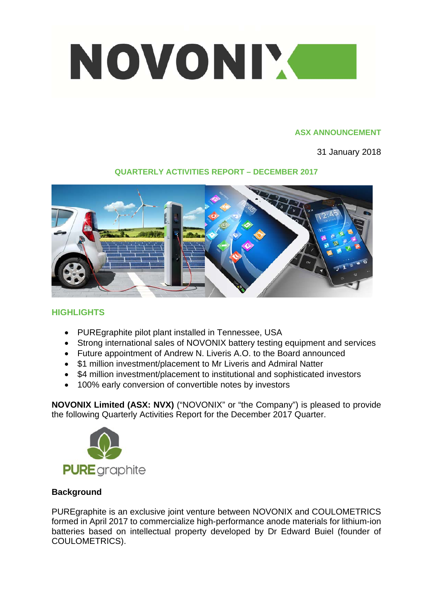

### **ASX ANNOUNCEMENT**

31 January 2018

# **QUARTERLY ACTIVITIES REPORT – DECEMBER 2017**



# **HIGHLIGHTS**

- PUREgraphite pilot plant installed in Tennessee, USA
- Strong international sales of NOVONIX battery testing equipment and services
- Future appointment of Andrew N. Liveris A.O. to the Board announced
- \$1 million investment/placement to Mr Liveris and Admiral Natter
- \$4 million investment/placement to institutional and sophisticated investors
- 100% early conversion of convertible notes by investors

**NOVONIX Limited (ASX: NVX)** ("NOVONIX" or "the Company") is pleased to provide the following Quarterly Activities Report for the December 2017 Quarter.



# **Background**

PUREgraphite is an exclusive joint venture between NOVONIX and COULOMETRICS formed in April 2017 to commercialize high-performance anode materials for lithium-ion batteries based on intellectual property developed by Dr Edward Buiel (founder of COULOMETRICS).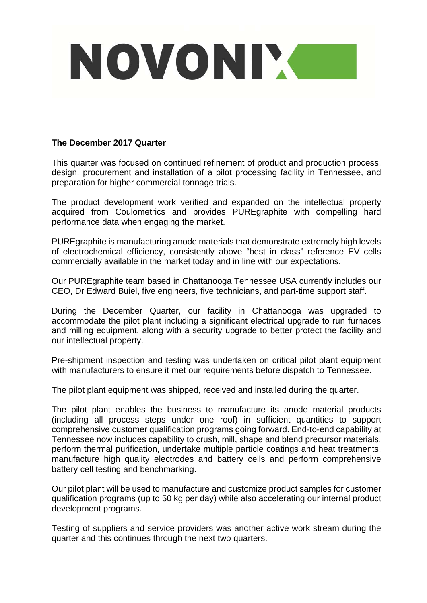

## **The December 2017 Quarter**

This quarter was focused on continued refinement of product and production process, design, procurement and installation of a pilot processing facility in Tennessee, and preparation for higher commercial tonnage trials.

The product development work verified and expanded on the intellectual property acquired from Coulometrics and provides PUREgraphite with compelling hard performance data when engaging the market.

PUREgraphite is manufacturing anode materials that demonstrate extremely high levels of electrochemical efficiency, consistently above "best in class" reference EV cells commercially available in the market today and in line with our expectations.

Our PUREgraphite team based in Chattanooga Tennessee USA currently includes our CEO, Dr Edward Buiel, five engineers, five technicians, and part-time support staff.

During the December Quarter, our facility in Chattanooga was upgraded to accommodate the pilot plant including a significant electrical upgrade to run furnaces and milling equipment, along with a security upgrade to better protect the facility and our intellectual property.

Pre-shipment inspection and testing was undertaken on critical pilot plant equipment with manufacturers to ensure it met our requirements before dispatch to Tennessee.

The pilot plant equipment was shipped, received and installed during the quarter.

The pilot plant enables the business to manufacture its anode material products (including all process steps under one roof) in sufficient quantities to support comprehensive customer qualification programs going forward. End-to-end capability at Tennessee now includes capability to crush, mill, shape and blend precursor materials, perform thermal purification, undertake multiple particle coatings and heat treatments, manufacture high quality electrodes and battery cells and perform comprehensive battery cell testing and benchmarking.

Our pilot plant will be used to manufacture and customize product samples for customer qualification programs (up to 50 kg per day) while also accelerating our internal product development programs.

Testing of suppliers and service providers was another active work stream during the quarter and this continues through the next two quarters.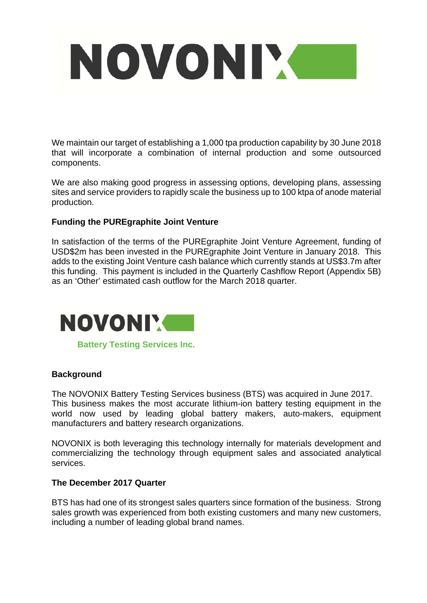

We maintain our target of establishing a 1,000 tpa production capability by 30 June 2018 that will incorporate a combination of internal production and some outsourced components.

We are also making good progress in assessing options, developing plans, assessing sites and service providers to rapidly scale the business up to 100 ktpa of anode material production.

## **Funding the PUREgraphite Joint Venture**

In satisfaction of the terms of the PUREgraphite Joint Venture Agreement, funding of USD\$2m has been invested in the PUREgraphite Joint Venture in January 2018. This adds to the existing Joint Venture cash balance which currently stands at US\$3.7m after this funding. This payment is included in the Quarterly Cashflow Report (Appendix 5B) as an 'Other' estimated cash outflow for the March 2018 quarter.



**Battery Testing Services Inc.**

## **Background**

The NOVONIX Battery Testing Services business (BTS) was acquired in June 2017. This business makes the most accurate lithium-ion battery testing equipment in the world now used by leading global battery makers, auto-makers, equipment manufacturers and battery research organizations.

NOVONIX is both leveraging this technology internally for materials development and commercializing the technology through equipment sales and associated analytical services.

#### **The December 2017 Quarter**

BTS has had one of its strongest sales quarters since formation of the business. Strong sales growth was experienced from both existing customers and many new customers, including a number of leading global brand names.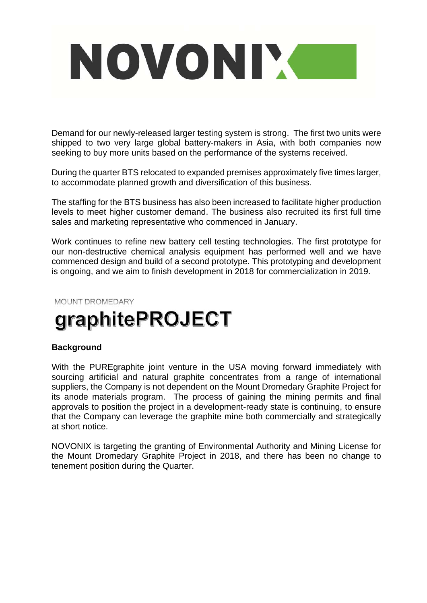

Demand for our newly-released larger testing system is strong. The first two units were shipped to two very large global battery-makers in Asia, with both companies now seeking to buy more units based on the performance of the systems received.

During the quarter BTS relocated to expanded premises approximately five times larger, to accommodate planned growth and diversification of this business.

The staffing for the BTS business has also been increased to facilitate higher production levels to meet higher customer demand. The business also recruited its first full time sales and marketing representative who commenced in January.

Work continues to refine new battery cell testing technologies. The first prototype for our non-destructive chemical analysis equipment has performed well and we have commenced design and build of a second prototype. This prototyping and development is ongoing, and we aim to finish development in 2018 for commercialization in 2019.

#### MOUNT DROMEDARY

# graphitePROJECT

## **Background**

With the PUREgraphite joint venture in the USA moving forward immediately with sourcing artificial and natural graphite concentrates from a range of international suppliers, the Company is not dependent on the Mount Dromedary Graphite Project for its anode materials program. The process of gaining the mining permits and final approvals to position the project in a development-ready state is continuing, to ensure that the Company can leverage the graphite mine both commercially and strategically at short notice.

NOVONIX is targeting the granting of Environmental Authority and Mining License for the Mount Dromedary Graphite Project in 2018, and there has been no change to tenement position during the Quarter.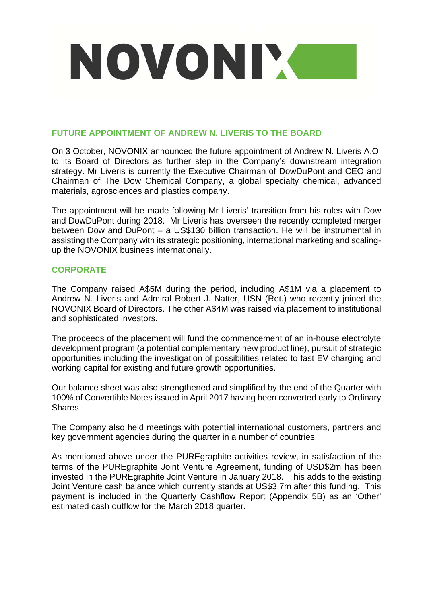

## **FUTURE APPOINTMENT OF ANDREW N. LIVERIS TO THE BOARD**

On 3 October, NOVONIX announced the future appointment of Andrew N. Liveris A.O. to its Board of Directors as further step in the Company's downstream integration strategy. Mr Liveris is currently the Executive Chairman of DowDuPont and CEO and Chairman of The Dow Chemical Company, a global specialty chemical, advanced materials, agrosciences and plastics company.

The appointment will be made following Mr Liveris' transition from his roles with Dow and DowDuPont during 2018. Mr Liveris has overseen the recently completed merger between Dow and DuPont – a US\$130 billion transaction. He will be instrumental in assisting the Company with its strategic positioning, international marketing and scalingup the NOVONIX business internationally.

## **CORPORATE**

The Company raised A\$5M during the period, including A\$1M via a placement to Andrew N. Liveris and Admiral Robert J. Natter, USN (Ret.) who recently joined the NOVONIX Board of Directors. The other A\$4M was raised via placement to institutional and sophisticated investors.

The proceeds of the placement will fund the commencement of an in-house electrolyte development program (a potential complementary new product line), pursuit of strategic opportunities including the investigation of possibilities related to fast EV charging and working capital for existing and future growth opportunities.

Our balance sheet was also strengthened and simplified by the end of the Quarter with 100% of Convertible Notes issued in April 2017 having been converted early to Ordinary Shares.

The Company also held meetings with potential international customers, partners and key government agencies during the quarter in a number of countries.

As mentioned above under the PUREgraphite activities review, in satisfaction of the terms of the PUREgraphite Joint Venture Agreement, funding of USD\$2m has been invested in the PUREgraphite Joint Venture in January 2018. This adds to the existing Joint Venture cash balance which currently stands at US\$3.7m after this funding. This payment is included in the Quarterly Cashflow Report (Appendix 5B) as an 'Other' estimated cash outflow for the March 2018 quarter.